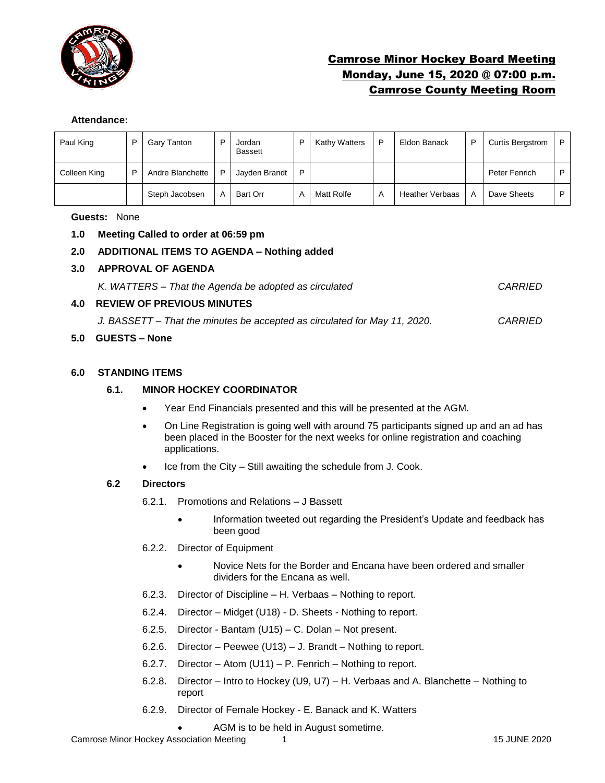

# Camrose Minor Hockey Board Meeting Monday, June 15, 2020 @ 07:00 p.m. Camrose County Meeting Room

#### **Attendance:**

| Paul King    | P | Gary Tanton      | P | Jordan<br><b>Bassett</b> | D | Kathy Watters | D | Eldon Banack           | D | <b>Curtis Bergstrom</b> | P. |
|--------------|---|------------------|---|--------------------------|---|---------------|---|------------------------|---|-------------------------|----|
| Colleen King | P | Andre Blanchette | P | Jayden Brandt            | P |               |   |                        |   | Peter Fenrich           | P. |
|              |   | Steph Jacobsen   | A | Bart Orr                 | A | Matt Rolfe    | A | <b>Heather Verbaas</b> | A | Dave Sheets             | P. |

#### **Guests:** None

#### **1.0 Meeting Called to order at 06:59 pm**

## **2.0 ADDITIONAL ITEMS TO AGENDA – Nothing added**

#### **3.0 APPROVAL OF AGENDA**

| K. WATTERS – That the Agenda be adopted as circulated | CARRIED |
|-------------------------------------------------------|---------|
| <b>4.0 REVIEW OF PREVIOUS MINUTES</b>                 |         |

*J. BASSETT – That the minutes be accepted as circulated for May 11, 2020. CARRIED*

## **5.0 GUESTS – None**

#### **6.0 STANDING ITEMS**

#### **6.1. MINOR HOCKEY COORDINATOR**

- Year End Financials presented and this will be presented at the AGM.
- On Line Registration is going well with around 75 participants signed up and an ad has been placed in the Booster for the next weeks for online registration and coaching applications.
- Ice from the City Still awaiting the schedule from J. Cook.

#### **6.2 Directors**

- 6.2.1. Promotions and Relations J Bassett
	- Information tweeted out regarding the President's Update and feedback has been good
- 6.2.2. Director of Equipment
	- Novice Nets for the Border and Encana have been ordered and smaller dividers for the Encana as well.
- 6.2.3. Director of Discipline H. Verbaas Nothing to report.
- 6.2.4. Director Midget (U18) D. Sheets Nothing to report.
- 6.2.5. Director Bantam (U15) C. Dolan Not present.
- 6.2.6. Director Peewee (U13) J. Brandt Nothing to report.
- 6.2.7. Director Atom (U11) P. Fenrich Nothing to report.
- 6.2.8. Director Intro to Hockey (U9, U7) H. Verbaas and A. Blanchette Nothing to report
- 6.2.9. Director of Female Hockey E. Banack and K. Watters
	- AGM is to be held in August sometime.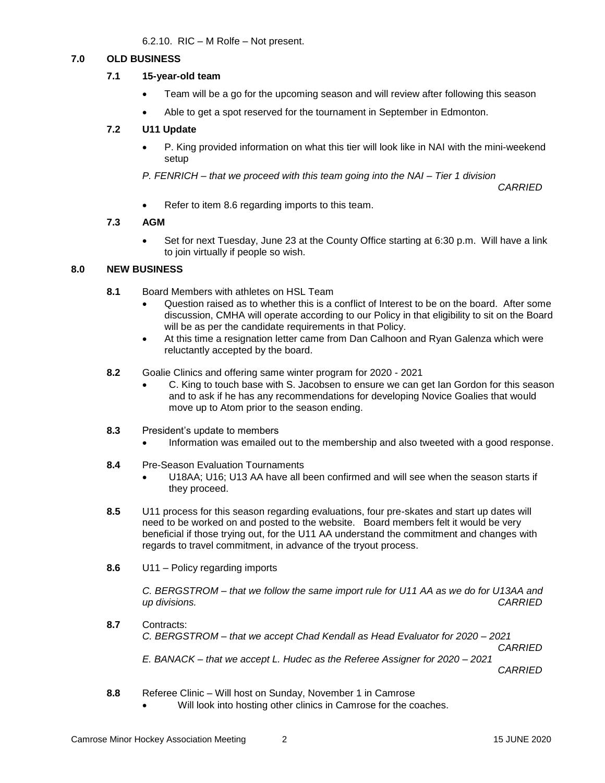6.2.10. RIC – M Rolfe – Not present.

## **7.0 OLD BUSINESS**

### **7.1 15-year-old team**

- Team will be a go for the upcoming season and will review after following this season
- Able to get a spot reserved for the tournament in September in Edmonton.

# **7.2 U11 Update**

• P. King provided information on what this tier will look like in NAI with the mini-weekend setup

*P. FENRICH – that we proceed with this team going into the NAI – Tier 1 division*

*CARRIED*

• Refer to item 8.6 regarding imports to this team.

## **7.3 AGM**

• Set for next Tuesday, June 23 at the County Office starting at 6:30 p.m. Will have a link to join virtually if people so wish.

#### **8.0 NEW BUSINESS**

- **8.1** Board Members with athletes on HSL Team
	- Question raised as to whether this is a conflict of Interest to be on the board. After some discussion, CMHA will operate according to our Policy in that eligibility to sit on the Board will be as per the candidate requirements in that Policy.
	- At this time a resignation letter came from Dan Calhoon and Ryan Galenza which were reluctantly accepted by the board.
- **8.2** Goalie Clinics and offering same winter program for 2020 2021
	- C. King to touch base with S. Jacobsen to ensure we can get Ian Gordon for this season and to ask if he has any recommendations for developing Novice Goalies that would move up to Atom prior to the season ending.
- **8.3** President's update to members
	- Information was emailed out to the membership and also tweeted with a good response.
- **8.4** Pre-Season Evaluation Tournaments
	- U18AA; U16; U13 AA have all been confirmed and will see when the season starts if they proceed.
- **8.5** U11 process for this season regarding evaluations, four pre-skates and start up dates will need to be worked on and posted to the website. Board members felt it would be very beneficial if those trying out, for the U11 AA understand the commitment and changes with regards to travel commitment, in advance of the tryout process.
- **8.6** U11 Policy regarding imports

*C. BERGSTROM – that we follow the same import rule for U11 AA as we do for U13AA and up divisions. CARRIED*

- **8.7** Contracts: *C. BERGSTROM – that we accept Chad Kendall as Head Evaluator for 2020 – 2021 CARRIED E. BANACK – that we accept L. Hudec as the Referee Assigner for 2020 – 2021 CARRIED*
- **8.8** Referee Clinic Will host on Sunday, November 1 in Camrose
	- Will look into hosting other clinics in Camrose for the coaches.